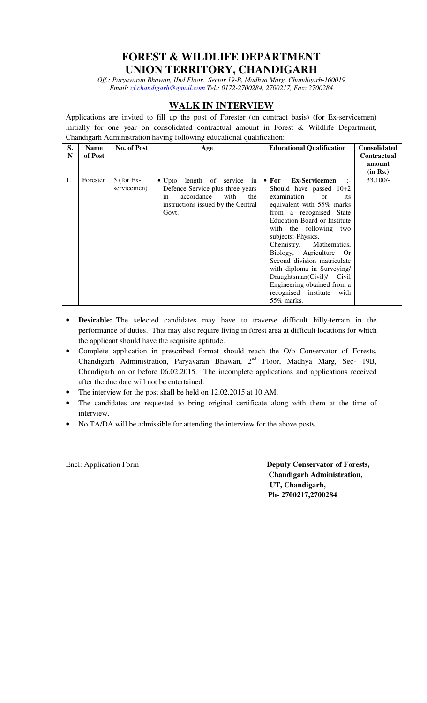## **FOREST & WILDLIFE DEPARTMENT UNION TERRITORY, CHANDIGARH**

*Off.: Paryavaran Bhawan, IInd Floor, Sector 19-B, Madhya Marg, Chandigarh-160019 Email: cf.chandigarh@gmail.com Tel.: 0172-2700284, 2700217, Fax: 2700284* 

## **WALK IN INTERVIEW**

Applications are invited to fill up the post of Forester (on contract basis) (for Ex-servicemen) initially for one year on consolidated contractual amount in Forest & Wildlife Department, Chandigarh Administration having following educational qualification:

| S.<br>N | <b>Name</b><br>of Post | No. of Post                 | Age                                                                | <b>Educational Qualification</b>                                    | <b>Consolidated</b><br><b>Contractual</b> |
|---------|------------------------|-----------------------------|--------------------------------------------------------------------|---------------------------------------------------------------------|-------------------------------------------|
|         |                        |                             |                                                                    |                                                                     | amount                                    |
|         |                        |                             |                                                                    |                                                                     | (in Rs.)                                  |
| 1.      | Forester               | $5$ (for Ex-<br>servicemen) | • Upto length of service<br>in<br>Defence Service plus three years | • For Ex-Servicemen<br>$\cdot$ : $\cdot$<br>Should have passed 10+2 | $33,100/-$                                |
|         |                        |                             | accordance<br>with<br>the<br>in                                    | examination<br>its<br><sub>or</sub>                                 |                                           |
|         |                        |                             | instructions issued by the Central                                 | equivalent with 55% marks                                           |                                           |
|         |                        |                             | Govt.                                                              | from a recognised State                                             |                                           |
|         |                        |                             |                                                                    | Education Board or Institute                                        |                                           |
|         |                        |                             |                                                                    | with the following two                                              |                                           |
|         |                        |                             |                                                                    | subjects:-Physics,                                                  |                                           |
|         |                        |                             |                                                                    | Chemistry, Mathematics,                                             |                                           |
|         |                        |                             |                                                                    | Biology, Agriculture Or                                             |                                           |
|         |                        |                             |                                                                    | Second division matriculate                                         |                                           |
|         |                        |                             |                                                                    | with diploma in Surveying/                                          |                                           |
|         |                        |                             |                                                                    | Draughtsman(Civil)/ Civil                                           |                                           |
|         |                        |                             |                                                                    | Engineering obtained from a                                         |                                           |
|         |                        |                             |                                                                    | recognised institute<br>with                                        |                                           |
|         |                        |                             |                                                                    | 55% marks.                                                          |                                           |

- **Desirable:** The selected candidates may have to traverse difficult hilly-terrain in the performance of duties. That may also require living in forest area at difficult locations for which the applicant should have the requisite aptitude.
- Complete application in prescribed format should reach the O/o Conservator of Forests, Chandigarh Administration, Paryavaran Bhawan, 2<sup>nd</sup> Floor, Madhya Marg, Sec- 19B, Chandigarh on or before 06.02.2015. The incomplete applications and applications received after the due date will not be entertained.
- The interview for the post shall be held on 12.02.2015 at 10 AM.
- The candidates are requested to bring original certificate along with them at the time of interview.
- No TA/DA will be admissible for attending the interview for the above posts.

Encl: Application Form **Deputy Conservator of Forests, Chandigarh Administration, UT, Chandigarh, Ph- 2700217,2700284**